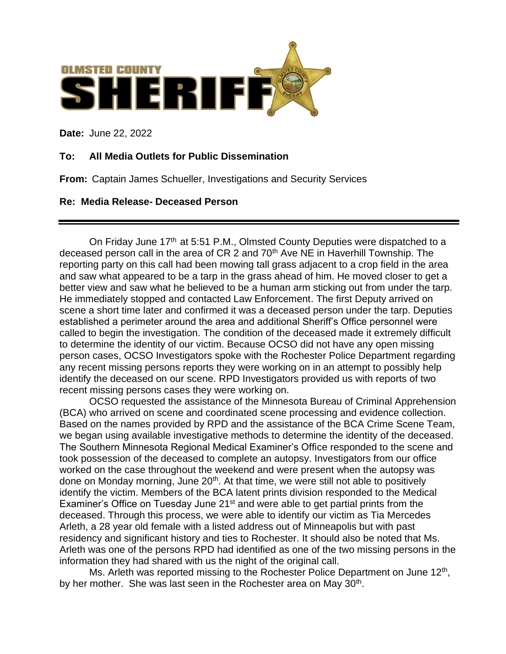

**Date:** June 22, 2022

## **To: All Media Outlets for Public Dissemination**

**From:** Captain James Schueller, Investigations and Security Services

## **Re: Media Release- Deceased Person**

On Friday June 17<sup>th</sup> at 5:51 P.M., Olmsted County Deputies were dispatched to a deceased person call in the area of CR 2 and 70<sup>th</sup> Ave NE in Haverhill Township. The reporting party on this call had been mowing tall grass adjacent to a crop field in the area and saw what appeared to be a tarp in the grass ahead of him. He moved closer to get a better view and saw what he believed to be a human arm sticking out from under the tarp. He immediately stopped and contacted Law Enforcement. The first Deputy arrived on scene a short time later and confirmed it was a deceased person under the tarp. Deputies established a perimeter around the area and additional Sheriff's Office personnel were called to begin the investigation. The condition of the deceased made it extremely difficult to determine the identity of our victim. Because OCSO did not have any open missing person cases, OCSO Investigators spoke with the Rochester Police Department regarding any recent missing persons reports they were working on in an attempt to possibly help identify the deceased on our scene. RPD Investigators provided us with reports of two recent missing persons cases they were working on.

OCSO requested the assistance of the Minnesota Bureau of Criminal Apprehension (BCA) who arrived on scene and coordinated scene processing and evidence collection. Based on the names provided by RPD and the assistance of the BCA Crime Scene Team, we began using available investigative methods to determine the identity of the deceased. The Southern Minnesota Regional Medical Examiner's Office responded to the scene and took possession of the deceased to complete an autopsy. Investigators from our office worked on the case throughout the weekend and were present when the autopsy was done on Monday morning, June 20<sup>th</sup>. At that time, we were still not able to positively identify the victim. Members of the BCA latent prints division responded to the Medical Examiner's Office on Tuesday June 21<sup>st</sup> and were able to get partial prints from the deceased. Through this process, we were able to identify our victim as Tia Mercedes Arleth, a 28 year old female with a listed address out of Minneapolis but with past residency and significant history and ties to Rochester. It should also be noted that Ms. Arleth was one of the persons RPD had identified as one of the two missing persons in the information they had shared with us the night of the original call.

Ms. Arleth was reported missing to the Rochester Police Department on June 12<sup>th</sup>, by her mother. She was last seen in the Rochester area on May 30<sup>th</sup>.